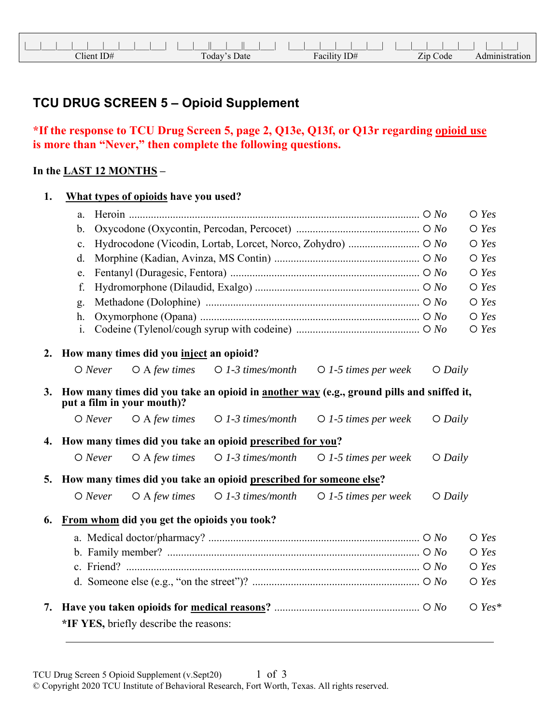## **TCU DRUG SCREEN 5 – Opioid Supplement**

## **\*If the response to TCU Drug Screen 5, page 2, Q13e, Q13f, or Q13r regarding opioid use is more than "Never," then complete the following questions.**

## **In the LAST 12 MONTHS –**

| 1. |                | What types of opioids have you used?        |                                                                    |                                                                                          |           |                |
|----|----------------|---------------------------------------------|--------------------------------------------------------------------|------------------------------------------------------------------------------------------|-----------|----------------|
|    | a.             |                                             |                                                                    |                                                                                          |           | $\bigcirc$ Yes |
|    | $b$ .          |                                             |                                                                    |                                                                                          |           | $O$ Yes        |
|    | $\mathbf{c}$ . |                                             |                                                                    |                                                                                          |           | $O$ Yes        |
|    | d.             |                                             |                                                                    |                                                                                          |           | $\bigcirc$ Yes |
|    | e.             |                                             |                                                                    |                                                                                          |           | $O$ Yes        |
|    | f.             |                                             |                                                                    |                                                                                          |           | $\bigcirc$ Yes |
|    | g.             |                                             |                                                                    |                                                                                          |           | $\bigcirc$ Yes |
|    | h.             |                                             |                                                                    |                                                                                          |           | $O$ Yes        |
|    | i.             |                                             |                                                                    |                                                                                          |           | $O$ Yes        |
| 2. |                | How many times did you inject an opioid?    |                                                                    |                                                                                          |           |                |
|    | $O$ Never      | $O$ A few times                             | $\bigcirc$ 1-3 times/month                                         | $\bigcirc$ 1-5 times per week                                                            | $O$ Daily |                |
| 3. |                | put a film in your mouth)?                  |                                                                    | How many times did you take an opioid in another way (e.g., ground pills and sniffed it, |           |                |
|    | $O$ Never      | $O$ A few times                             | $\bigcirc$ 1-3 times/month                                         | $\bigcirc$ 1-5 times per week                                                            | $O$ Daily |                |
|    |                |                                             | 4. How many times did you take an opioid prescribed for you?       |                                                                                          |           |                |
|    | $O$ Never      | $O$ A few times                             | $O$ 1-3 times/month                                                | $\bigcirc$ 1-5 times per week                                                            | $O$ Daily |                |
| 5. |                |                                             | How many times did you take an opioid prescribed for someone else? |                                                                                          |           |                |
|    | $O$ Never      | $O$ A few times                             | $O$ 1-3 times/month                                                | $\bigcirc$ 1-5 times per week                                                            | $O$ Daily |                |
| 6. |                | From whom did you get the opioids you took? |                                                                    |                                                                                          |           |                |
|    |                |                                             |                                                                    |                                                                                          |           | $\bigcirc$ Yes |
|    |                |                                             |                                                                    |                                                                                          |           | $\bigcirc$ Yes |
|    |                |                                             |                                                                    |                                                                                          |           | $O$ Yes        |
|    |                |                                             |                                                                    |                                                                                          |           | $O$ Yes        |
| 7. |                | *IF YES, briefly describe the reasons:      |                                                                    |                                                                                          |           | $O$ Yes*       |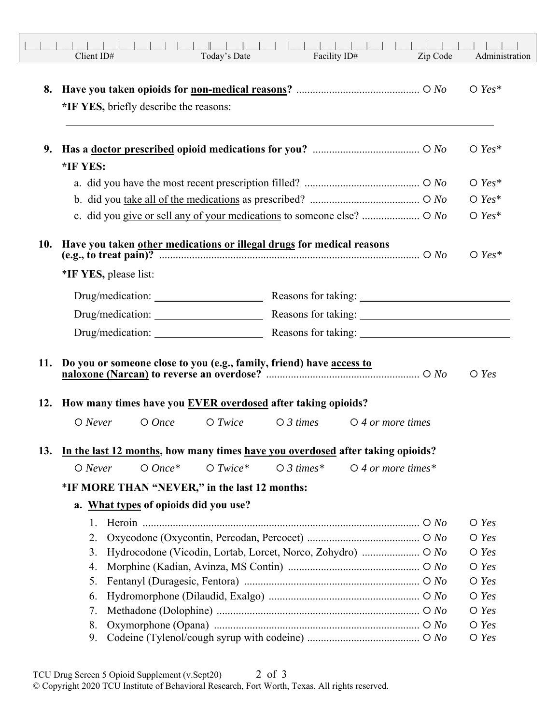|     | Client ID#            |                                               | Today's Date |                                                                                                                                                      | Facility ID#                                  | Zip Code | Administration     |
|-----|-----------------------|-----------------------------------------------|--------------|------------------------------------------------------------------------------------------------------------------------------------------------------|-----------------------------------------------|----------|--------------------|
| 8.  |                       | *IF YES, briefly describe the reasons:        |              |                                                                                                                                                      |                                               |          | $\bigcirc$ Yes*    |
| 9.  | *IF YES:              |                                               |              |                                                                                                                                                      |                                               |          | $O$ Yes*           |
|     |                       |                                               |              |                                                                                                                                                      |                                               |          | $O$ Yes*           |
|     |                       |                                               |              |                                                                                                                                                      |                                               |          | $O$ Yes*           |
|     |                       |                                               |              |                                                                                                                                                      |                                               |          | $O$ Yes*           |
|     | *IF YES, please list: |                                               |              | 10. Have you taken other medications or illegal drugs for medical reasons<br>(e.g., to treat pain)? $\overline{\phantom{a} \phantom{a} \phantom{a}}$ |                                               |          | $O$ Yes*           |
|     |                       |                                               |              | Drug/medication: Reasons for taking: 2000 Changes 2014                                                                                               |                                               |          |                    |
|     |                       |                                               |              |                                                                                                                                                      |                                               |          |                    |
|     |                       |                                               |              |                                                                                                                                                      |                                               |          |                    |
|     |                       |                                               |              | 11. Do you or someone close to you (e.g., family, friend) have access to<br>12. How many times have you EVER overdosed after taking opioids?         |                                               |          | $O$ Yes            |
|     | $O$ Never             | $O$ Once                                      | $O$ Twice    |                                                                                                                                                      | $\bigcirc$ 3 times $\bigcirc$ 4 or more times |          |                    |
| 13. |                       |                                               |              | In the last 12 months, how many times have you overdosed after taking opioids?                                                                       |                                               |          |                    |
|     | $O$ Never             | $O$ Once*                                     | $O$ Twice*   | $\bigcirc$ 3 times*                                                                                                                                  | $\bigcirc$ 4 or more times*                   |          |                    |
|     |                       | *IF MORE THAN "NEVER," in the last 12 months: |              |                                                                                                                                                      |                                               |          |                    |
|     |                       | a. What types of opioids did you use?         |              |                                                                                                                                                      |                                               |          |                    |
|     | 1.                    |                                               |              |                                                                                                                                                      |                                               |          | $\bigcirc$ Yes     |
|     | 2.                    |                                               |              |                                                                                                                                                      |                                               |          | $O$ Yes            |
|     | 3.                    |                                               |              |                                                                                                                                                      |                                               |          | $\bigcirc$ Yes     |
|     | 4.<br>5.              |                                               |              |                                                                                                                                                      |                                               |          | $O$ Yes<br>$O$ Yes |
|     | 6.                    |                                               |              |                                                                                                                                                      |                                               |          | $\bigcirc$ Yes     |
|     | 7.                    |                                               |              |                                                                                                                                                      |                                               |          | $\bigcirc$ Yes     |
|     | 8.                    |                                               |              |                                                                                                                                                      |                                               |          | $O$ Yes            |
|     | 9.                    |                                               |              |                                                                                                                                                      |                                               |          | $\bigcirc$ Yes     |